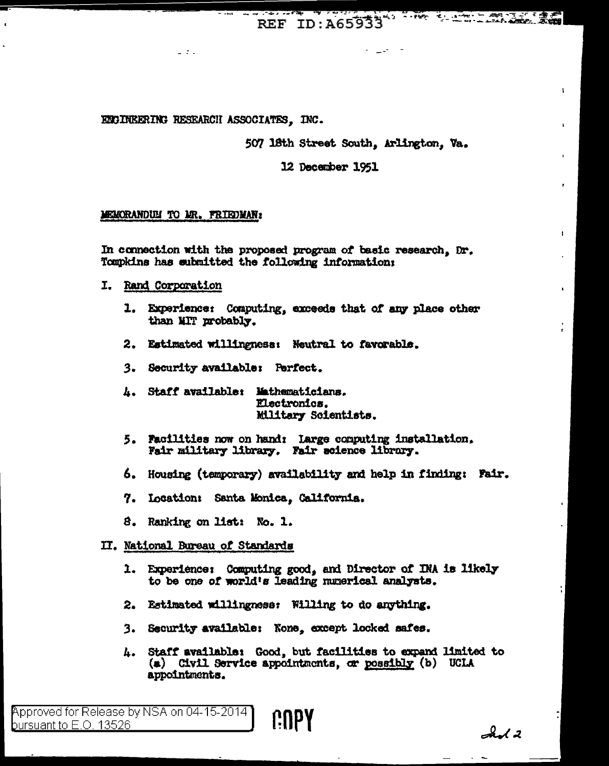REF ID:A65933

# ENGINEERING RESEARCH ASSOCIATES. INC.

507 18th Street South, Arlington, Va.

**CONTRACTOR** 

t.

 $\mathbf{I}$ 

12 December 1951

## MEMORANDUM TO MR. FRIEDMAN:

 $\mathbb{Z}^{\mathbb{Z}}$  and  $\mathbb{Z}^{\mathbb{Z}}$ 

In connection with the proposed program of basic research, Dr. Tompkins has submitted the following information:

- I. Rand Corporation
	- 1. Experience: Computing, exceeds that of any place other than MIT probably.
	- 2. Estimated willingness: Neutral to favorable.
	- 3. Security available: Perfect.
	- 4. Staff available: Mathematicians. Electronics. Military Soientists.
	- 5. Facilities now on hand: large computing installation. Fair military library. Fair science library.
	- 6. Housing (temporary) availability and help in finding: Fair.
	- 7. Location: Santa Monica, Galifornia.
	- 8. Ranking on list: No. 1.

## II. National Bureau of Standards

- 1. Experience: Computing good, and Director of INA is likely to be one of world's leading numerical analysts.
- 2. Estimated willingness: Willing to do anything.
- 3. Security available: None, except locked safes.
- 4. Staff available: Good, but facilities to expand limited to (a) Civil Service appointments, or possibly (b) UCLA appointments.

Approved for Release by NSA on 04-15-2014 COPY bursuant to  $E$ .O. 13526

 $A$ d 2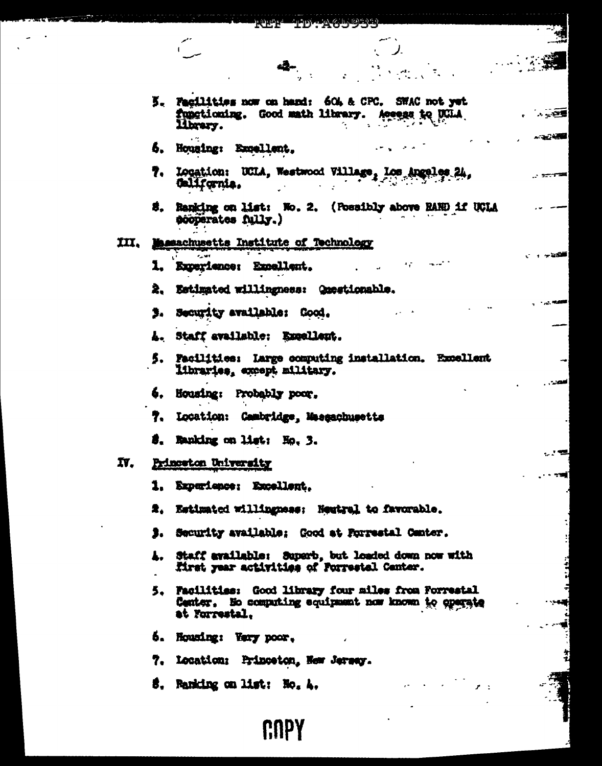|     | ree idtagjyot a<br>بمعمو                                                                                                                                                                                                                                                                                                                                                                                                                                                                                                                                                                       |                         |
|-----|------------------------------------------------------------------------------------------------------------------------------------------------------------------------------------------------------------------------------------------------------------------------------------------------------------------------------------------------------------------------------------------------------------------------------------------------------------------------------------------------------------------------------------------------------------------------------------------------|-------------------------|
|     | $\mathcal{L} = \mathcal{L}$<br>$\label{eq:2} \frac{\partial \mathcal{L}_{\mathbf{p}}}{\partial \mathbf{p}} = \frac{\partial \mathcal{L}_{\mathbf{p}}}{\partial \mathbf{p}} = \frac{\partial \mathcal{L}_{\mathbf{p}}}{\partial \mathbf{p}} = \frac{\partial \mathcal{L}_{\mathbf{p}}}{\partial \mathbf{p}} = \frac{\partial \mathcal{L}_{\mathbf{p}}}{\partial \mathbf{p}} = \frac{\partial \mathcal{L}_{\mathbf{p}}}{\partial \mathbf{p}} = \frac{\partial \mathcal{L}_{\mathbf{p}}}{\partial \mathbf{p}} = \frac{\partial \mathcal{L}_{\mathbf{p}}}{\partial \mathbf{p}} = \frac{\partial \$ |                         |
|     | 5. Facilities now on hand: 60% & CPC. SWAC not yet<br>functioning. Good math library. Access to DCLA<br>library.                                                                                                                                                                                                                                                                                                                                                                                                                                                                               | <b>A. 小小型</b>           |
|     | 5. Housing: Excellent.                                                                                                                                                                                                                                                                                                                                                                                                                                                                                                                                                                         | <b>ALL AND AND REAL</b> |
|     | 7. Location: UCLA, Westwood Village, Los Angeles 24,<br>California.                                                                                                                                                                                                                                                                                                                                                                                                                                                                                                                            |                         |
|     | S. Ranking on list: No. 2. (Possibly above RAND if UCLA<br>scoperates fully.)                                                                                                                                                                                                                                                                                                                                                                                                                                                                                                                  |                         |
|     | III. Massachusetts Institute of Technology                                                                                                                                                                                                                                                                                                                                                                                                                                                                                                                                                     |                         |
|     | √ਾ ਅਖੋਲੀ≣<br>Albert 1<br>$\epsilon = \omega = -\frac{2\pi}{3} \omega^2$ , where<br>1. Experience: Expellent.                                                                                                                                                                                                                                                                                                                                                                                                                                                                                   |                         |
|     | 2. Estimated willingness: Questionable.                                                                                                                                                                                                                                                                                                                                                                                                                                                                                                                                                        |                         |
|     | 3. Security available: Good.                                                                                                                                                                                                                                                                                                                                                                                                                                                                                                                                                                   |                         |
|     | A. Staff available: Excellent.                                                                                                                                                                                                                                                                                                                                                                                                                                                                                                                                                                 |                         |
|     | 5. Facilities: Large computing installation. Excellent<br>libraries, except military.                                                                                                                                                                                                                                                                                                                                                                                                                                                                                                          |                         |
|     | 4. Housing: Probably poor,                                                                                                                                                                                                                                                                                                                                                                                                                                                                                                                                                                     |                         |
|     | 7. Location: Cambridge, Maesachusetts                                                                                                                                                                                                                                                                                                                                                                                                                                                                                                                                                          |                         |
|     | 8. Ranking on list: No. 3.                                                                                                                                                                                                                                                                                                                                                                                                                                                                                                                                                                     |                         |
| IV. | Princeton University                                                                                                                                                                                                                                                                                                                                                                                                                                                                                                                                                                           |                         |
|     | كالإسلام فالشارع والمستحقق فأنقصه فالمقدمات متعارضه<br>1. Experience: Excellent.                                                                                                                                                                                                                                                                                                                                                                                                                                                                                                               | . . <b>.</b>            |
|     | 2. Estimated willingness: Neutral to favorable.                                                                                                                                                                                                                                                                                                                                                                                                                                                                                                                                                |                         |
|     | 3. Security available; Good at Porrestal Center.                                                                                                                                                                                                                                                                                                                                                                                                                                                                                                                                               |                         |
|     | 4. Staff available: Superb, but loaded down now with<br>Mirst year activities of Porrestal Center.                                                                                                                                                                                                                                                                                                                                                                                                                                                                                             |                         |
|     | 5. Facilities: Good library four miles from Forrestal<br>Center. He computing equipment now known to operate<br>at Forrestal.                                                                                                                                                                                                                                                                                                                                                                                                                                                                  |                         |
|     | 6. Houning: Very poor.                                                                                                                                                                                                                                                                                                                                                                                                                                                                                                                                                                         |                         |
|     | 7. Location: Princeton, New Jersey.                                                                                                                                                                                                                                                                                                                                                                                                                                                                                                                                                            |                         |
|     | 5. Ranking on list: No. A.                                                                                                                                                                                                                                                                                                                                                                                                                                                                                                                                                                     |                         |
|     |                                                                                                                                                                                                                                                                                                                                                                                                                                                                                                                                                                                                |                         |

**FUEL** 

 $\mathbb{R}^2$  $\overline{\phantom{0}}$ 

**TD:A65935** 

CUPY

 $\ddot{\phantom{0}}$